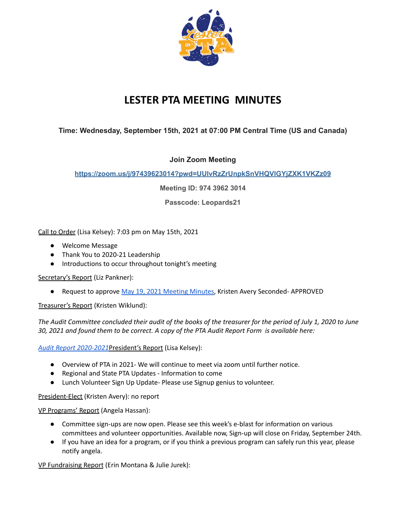

# **LESTER PTA MEETING MINUTES**

# **Time: Wednesday, September 15th, 2021 at 07:00 PM Central Time (US and Canada)**

# **Join Zoom Meeting**

# **[https://zoom.us/j/97439623014?pwd=UUlvRzZrUnpkSnVHQVlGYjZXK1VKZz09](https://na01.safelinks.protection.outlook.com/?url=https%3A%2F%2Flesterpta.us5.list-manage.com%2Ftrack%2Fclick%3Fu%3Dc6ad6cd65b251addd4b444457%26id%3D68da937f43%26e%3D0f21d59102&data=04%7C01%7C%7Cca7f07cb8b07423b4bd708d976d5c56d%7C84df9e7fe9f640afb435aaaaaaaaaaaa%7C1%7C0%7C637671482773620849%7CUnknown%7CTWFpbGZsb3d8eyJWIjoiMC4wLjAwMDAiLCJQIjoiV2luMzIiLCJBTiI6Ik1haWwiLCJXVCI6Mn0%3D%7C1000&sdata=i%2FmZo7y%2FdlZZumhVotMbB6k5LWdLmBmcBYdZRvR4YHM%3D&reserved=0)**

**Meeting ID: 974 3962 3014**

**Passcode: Leopards21**

Call to Order (Lisa Kelsey): 7:03 pm on May 15th, 2021

- Welcome Message
- Thank You to 2020-21 Leadership
- Introductions to occur throughout tonight's meeting

Secretary's Report (Liz Pankner):

● Request to approve May 19, 2021 [Meeting](https://docs.google.com/document/d/18KrHSqvxZ-hKeDSsl9r1Liq2Li2DdkMcVopQXPA-uAE/edit?usp=sharing) Minutes, Kristen Avery Seconded-APPROVED

Treasurer's Report (Kristen Wiklund):

The Audit Committee concluded their audit of the books of the treasurer for the period of July 1, 2020 to June 30, 2021 and found them to be correct. A copy of the PTA Audit Report Form is available here:

*Audit Report [2020-2021](https://drive.google.com/file/d/1A9l2RbUpgzFVcECLh5bI7wLyLEBkchiU/view?usp=sharing)*President's Report (Lisa Kelsey):

- Overview of PTA in 2021- We will continue to meet via zoom until further notice.
- Regional and State PTA Updates Information to come
- Lunch Volunteer Sign Up Update- Please use Signup genius to volunteer.

President-Elect (Kristen Avery): no report

VP Programs' Report (Angela Hassan):

- Committee sign-ups are now open. Please see this week's e-blast for information on various committees and volunteer opportunities. Available now, Sign-up will close on Friday, September 24th.
- If you have an idea for a program, or if you think a previous program can safely run this year, please notify angela.

VP Fundraising Report (Erin Montana & Julie Jurek):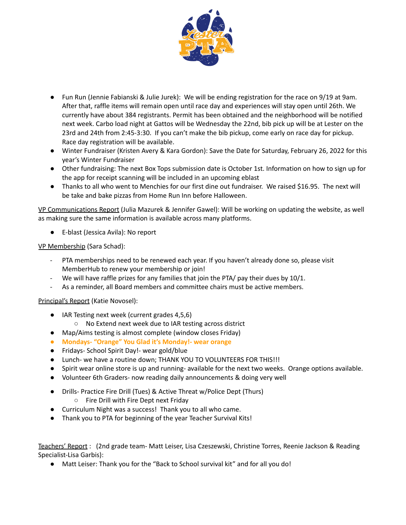

- Fun Run (Jennie Fabianski & Julie Jurek): We will be ending registration for the race on 9/19 at 9am. After that, raffle items will remain open until race day and experiences will stay open until 26th. We currently have about 384 registrants. Permit has been obtained and the neighborhood will be notified next week. Carbo load night at Gattos will be Wednesday the 22nd, bib pick up will be at Lester on the 23rd and 24th from 2:45-3:30. If you can't make the bib pickup, come early on race day for pickup. Race day registration will be available.
- Winter Fundraiser (Kristen Avery & Kara Gordon): Save the Date for Saturday, February 26, 2022 for this year's Winter Fundraiser
- Other fundraising: The next Box Tops submission date is October 1st. Information on how to sign up for the app for receipt scanning will be included in an upcoming eblast
- Thanks to all who went to Menchies for our first dine out fundraiser. We raised \$16.95. The next will be take and bake pizzas from Home Run Inn before Halloween.

VP Communications Report (Julia Mazurek & Jennifer Gawel): Will be working on updating the website, as well as making sure the same information is available across many platforms.

● E-blast (Jessica Avila): No report

VP Membership (Sara Schad):

- PTA memberships need to be renewed each year. If you haven't already done so, please visit MemberHub to renew your membership or join!
- We will have raffle prizes for any families that join the PTA/ pay their dues by 10/1.
- As a reminder, all Board members and committee chairs must be active members.

Principal's Report (Katie Novosel):

- IAR Testing next week (current grades 4,5,6)
	- No Extend next week due to IAR testing across district
- Map/Aims testing is almost complete (window closes Friday)
- **● Mondays- "Orange" You Glad it's Monday!- wear orange**
- Fridays- School Spirit Day!- wear gold/blue
- Lunch- we have a routine down; THANK YOU TO VOLUNTEERS FOR THIS!!!
- Spirit wear online store is up and running- available for the next two weeks. Orange options available.
- Volunteer 6th Graders- now reading daily announcements & doing very well
- Drills- Practice Fire Drill (Tues) & Active Threat w/Police Dept (Thurs)
	- Fire Drill with Fire Dept next Friday
- Curriculum Night was a success! Thank you to all who came.
- Thank you to PTA for beginning of the year Teacher Survival Kits!

Teachers' Report : (2nd grade team- Matt Leiser, Lisa Czeszewski, Christine Torres, Reenie Jackson & Reading Specialist-Lisa Garbis):

● Matt Leiser: Thank you for the "Back to School survival kit" and for all you do!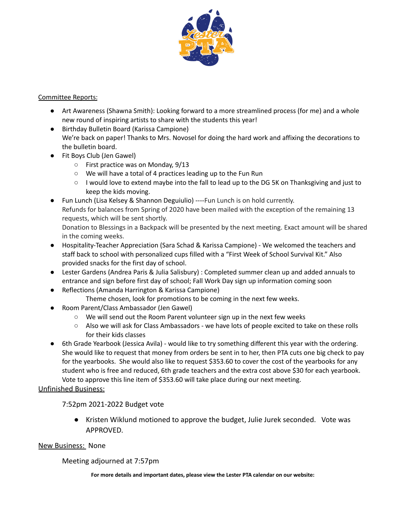

#### Committee Reports:

- Art Awareness (Shawna Smith): Looking forward to a more streamlined process (for me) and a whole new round of inspiring artists to share with the students this year!
- Birthday Bulletin Board (Karissa Campione) We're back on paper! Thanks to Mrs. Novosel for doing the hard work and affixing the decorations to the bulletin board.
- Fit Boys Club (Jen Gawel)
	- First practice was on Monday, 9/13
	- We will have a total of 4 practices leading up to the Fun Run
	- I would love to extend maybe into the fall to lead up to the DG 5K on Thanksgiving and just to keep the kids moving.
- Fun Lunch (Lisa Kelsey & Shannon Deguiulio) ----Fun Lunch is on hold currently. Refunds for balances from Spring of 2020 have been mailed with the exception of the remaining 13 requests, which will be sent shortly.

Donation to Blessings in a Backpack will be presented by the next meeting. Exact amount will be shared in the coming weeks.

- Hospitality-Teacher Appreciation (Sara Schad & Karissa Campione) We welcomed the teachers and staff back to school with personalized cups filled with a "First Week of School Survival Kit." Also provided snacks for the first day of school.
- Lester Gardens (Andrea Paris & Julia Salisbury) : Completed summer clean up and added annuals to entrance and sign before first day of school; Fall Work Day sign up information coming soon
- Reflections (Amanda Harrington & Karissa Campione)
	- Theme chosen, look for promotions to be coming in the next few weeks.
- Room Parent/Class Ambassador (Jen Gawel)
	- We will send out the Room Parent volunteer sign up in the next few weeks
	- Also we will ask for Class Ambassadors we have lots of people excited to take on these rolls for their kids classes
- 6th Grade Yearbook (Jessica Avila) would like to try something different this year with the ordering. She would like to request that money from orders be sent in to her, then PTA cuts one big check to pay for the yearbooks. She would also like to request \$353.60 to cover the cost of the yearbooks for any student who is free and reduced, 6th grade teachers and the extra cost above \$30 for each yearbook. Vote to approve this line item of \$353.60 will take place during our next meeting.

# Unfinished Business:

7:52pm 2021-2022 Budget vote

● Kristen Wiklund motioned to approve the budget, Julie Jurek seconded. Vote was APPROVED.

# New Business: None

# Meeting adjourned at 7:57pm